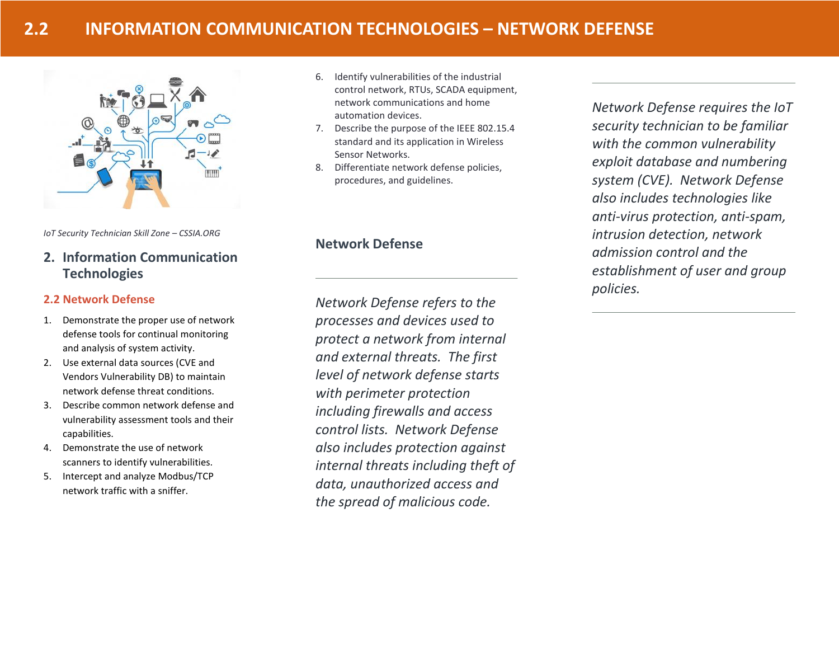

*IoT Security Technician Skill Zone – CSSIA.ORG*

# **2. Information Communication Technologies**

## **2.2 Network Defense**

- 1. Demonstrate the proper use of network defense tools for continual monitoring and analysis of system activity.
- 2. Use external data sources (CVE and Vendors Vulnerability DB) to maintain network defense threat conditions.
- 3. Describe common network defense and vulnerability assessment tools and their capabilities.
- 4. Demonstrate the use of network scanners to identify vulnerabilities.
- 5. Intercept and analyze Modbus/TCP network traffic with a sniffer.
- 6. Identify vulnerabilities of the industrial control network, RTUs, SCADA equipment, network communications and home automation devices.
- 7. Describe the purpose of the IEEE 802.15.4 standard and its application in Wireless Sensor Networks.
- 8. Differentiate network defense policies, procedures, and guidelines.

# **Network Defense**

*Network Defense refers to the processes and devices used to protect a network from internal and external threats. The first level of network defense starts with perimeter protection including firewalls and access control lists. Network Defense also includes protection against internal threats including theft of data, unauthorized access and the spread of malicious code.* 

*Network Defense requires the IoT security technician to be familiar with the common vulnerability exploit database and numbering system (CVE). Network Defense also includes technologies like anti-virus protection, anti-spam, intrusion detection, network admission control and the establishment of user and group policies.*